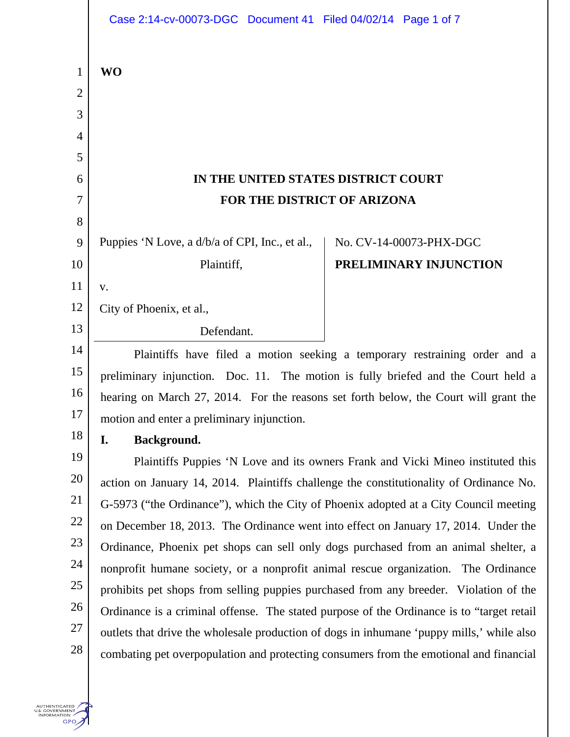|                | Case 2:14-cv-00073-DGC  Document 41  Filed 04/02/14  Page 1 of 7                          |                         |
|----------------|-------------------------------------------------------------------------------------------|-------------------------|
|                |                                                                                           |                         |
| $\mathbf{1}$   | <b>WO</b>                                                                                 |                         |
| $\overline{2}$ |                                                                                           |                         |
| 3              |                                                                                           |                         |
| $\overline{4}$ |                                                                                           |                         |
| 5              |                                                                                           |                         |
| 6              | IN THE UNITED STATES DISTRICT COURT                                                       |                         |
| 7              | FOR THE DISTRICT OF ARIZONA                                                               |                         |
| 8              |                                                                                           |                         |
| 9              | Puppies 'N Love, a d/b/a of CPI, Inc., et al.,                                            | No. CV-14-00073-PHX-DGC |
| 10             | Plaintiff,                                                                                | PRELIMINARY INJUNCTION  |
| 11             | V.                                                                                        |                         |
| 12             | City of Phoenix, et al.,                                                                  |                         |
| 13             | Defendant.                                                                                |                         |
| 14             | Plaintiffs have filed a motion seeking a temporary restraining order and a                |                         |
| 15             | preliminary injunction. Doc. 11. The motion is fully briefed and the Court held a         |                         |
| 16             | hearing on March 27, 2014. For the reasons set forth below, the Court will grant the      |                         |
| 17             | motion and enter a preliminary injunction.                                                |                         |
| 18             | I.<br>Background.                                                                         |                         |
| 19             | Plaintiffs Puppies 'N Love and its owners Frank and Vicki Mineo instituted this           |                         |
| 20             | action on January 14, 2014. Plaintiffs challenge the constitutionality of Ordinance No.   |                         |
| 21             | G-5973 ("the Ordinance"), which the City of Phoenix adopted at a City Council meeting     |                         |
| 22             | on December 18, 2013. The Ordinance went into effect on January 17, 2014. Under the       |                         |
| 23             | Ordinance, Phoenix pet shops can sell only dogs purchased from an animal shelter, a       |                         |
| 24             | nonprofit humane society, or a nonprofit animal rescue organization. The Ordinance        |                         |
| 25             | prohibits pet shops from selling puppies purchased from any breeder. Violation of the     |                         |
| 26             | Ordinance is a criminal offense. The stated purpose of the Ordinance is to "target retail |                         |
| 27             | outlets that drive the wholesale production of dogs in inhumane 'puppy mills,' while also |                         |
| 28             | combating pet overpopulation and protecting consumers from the emotional and financial    |                         |
|                |                                                                                           |                         |

AUTHENTICATED<br>U.S. GOVERNMENT<br>INFORMATION<br>GPO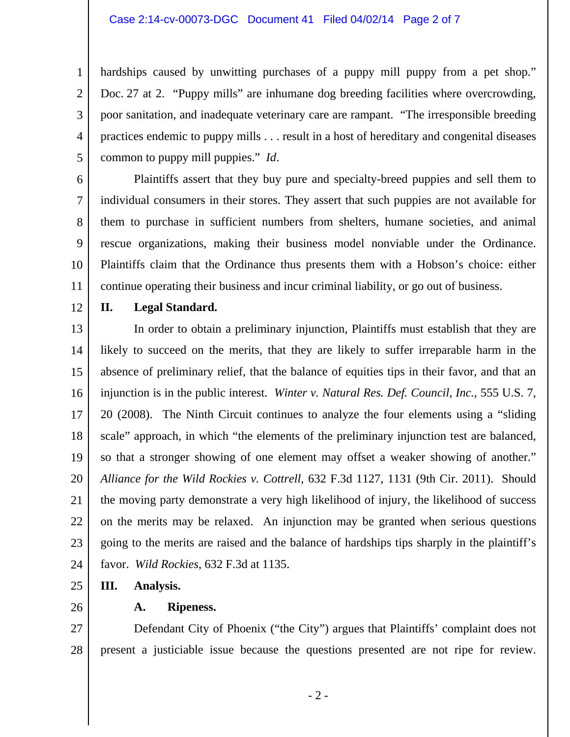#### Case 2:14-cv-00073-DGC Document 41 Filed 04/02/14 Page 2 of 7

4 hardships caused by unwitting purchases of a puppy mill puppy from a pet shop." Doc. 27 at 2. "Puppy mills" are inhumane dog breeding facilities where overcrowding, poor sanitation, and inadequate veterinary care are rampant. "The irresponsible breeding practices endemic to puppy mills . . . result in a host of hereditary and congenital diseases common to puppy mill puppies." *Id*.

6 7 8 9 10 11 Plaintiffs assert that they buy pure and specialty-breed puppies and sell them to individual consumers in their stores. They assert that such puppies are not available for them to purchase in sufficient numbers from shelters, humane societies, and animal rescue organizations, making their business model nonviable under the Ordinance. Plaintiffs claim that the Ordinance thus presents them with a Hobson's choice: either continue operating their business and incur criminal liability, or go out of business.

12

1

2

3

5

# **II. Legal Standard.**

13 14 15 16 17 18 19 20 21 22 23 24 In order to obtain a preliminary injunction, Plaintiffs must establish that they are likely to succeed on the merits, that they are likely to suffer irreparable harm in the absence of preliminary relief, that the balance of equities tips in their favor, and that an injunction is in the public interest. *Winter v. Natural Res. Def. Council, Inc.*, 555 U.S. 7, 20 (2008). The Ninth Circuit continues to analyze the four elements using a "sliding scale" approach, in which "the elements of the preliminary injunction test are balanced, so that a stronger showing of one element may offset a weaker showing of another." *Alliance for the Wild Rockies v. Cottrell*, 632 F.3d 1127, 1131 (9th Cir. 2011). Should the moving party demonstrate a very high likelihood of injury, the likelihood of success on the merits may be relaxed. An injunction may be granted when serious questions going to the merits are raised and the balance of hardships tips sharply in the plaintiff's favor. *Wild Rockies*, 632 F.3d at 1135.

- 25 **III. Analysis.**
- 26

## **A. Ripeness.**

27 28 Defendant City of Phoenix ("the City") argues that Plaintiffs' complaint does not present a justiciable issue because the questions presented are not ripe for review.

- 2 -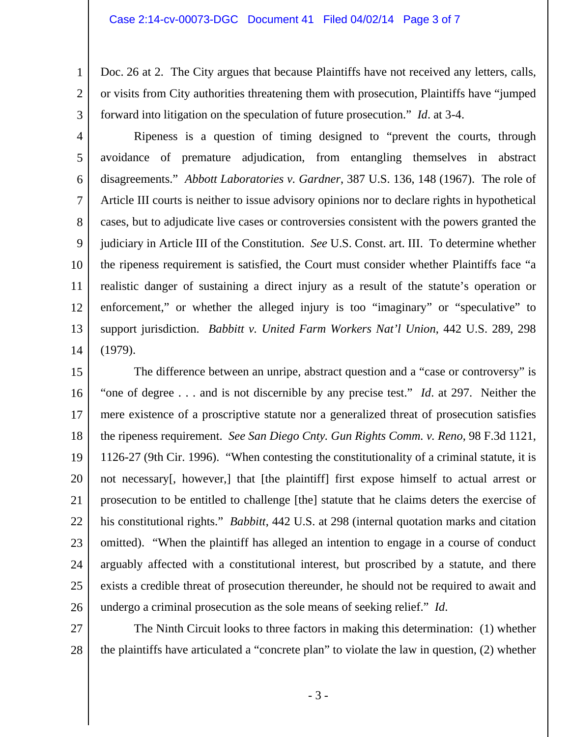## Case 2:14-cv-00073-DGC Document 41 Filed 04/02/14 Page 3 of 7

1

2

3

Doc. 26 at 2. The City argues that because Plaintiffs have not received any letters, calls, or visits from City authorities threatening them with prosecution, Plaintiffs have "jumped forward into litigation on the speculation of future prosecution." *Id*. at 3-4.

4 5 6 7 8 9 10 11 12 13 14 Ripeness is a question of timing designed to "prevent the courts, through avoidance of premature adjudication, from entangling themselves in abstract disagreements." *Abbott Laboratories v. Gardner*, 387 U.S. 136, 148 (1967). The role of Article III courts is neither to issue advisory opinions nor to declare rights in hypothetical cases, but to adjudicate live cases or controversies consistent with the powers granted the judiciary in Article III of the Constitution. *See* U.S. Const. art. III. To determine whether the ripeness requirement is satisfied, the Court must consider whether Plaintiffs face "a realistic danger of sustaining a direct injury as a result of the statute's operation or enforcement," or whether the alleged injury is too "imaginary" or "speculative" to support jurisdiction. *Babbitt v. United Farm Workers Nat'l Union*, 442 U.S. 289, 298 (1979).

15 16 17 18 19 20 21 22 23 24 25 26 The difference between an unripe, abstract question and a "case or controversy" is "one of degree . . . and is not discernible by any precise test." *Id*. at 297. Neither the mere existence of a proscriptive statute nor a generalized threat of prosecution satisfies the ripeness requirement. *See San Diego Cnty. Gun Rights Comm. v. Reno*, 98 F.3d 1121, 1126-27 (9th Cir. 1996). "When contesting the constitutionality of a criminal statute, it is not necessary[, however,] that [the plaintiff] first expose himself to actual arrest or prosecution to be entitled to challenge [the] statute that he claims deters the exercise of his constitutional rights." *Babbitt*, 442 U.S. at 298 (internal quotation marks and citation omitted). "When the plaintiff has alleged an intention to engage in a course of conduct arguably affected with a constitutional interest, but proscribed by a statute, and there exists a credible threat of prosecution thereunder, he should not be required to await and undergo a criminal prosecution as the sole means of seeking relief." *Id*.

27 28 The Ninth Circuit looks to three factors in making this determination: (1) whether the plaintiffs have articulated a "concrete plan" to violate the law in question, (2) whether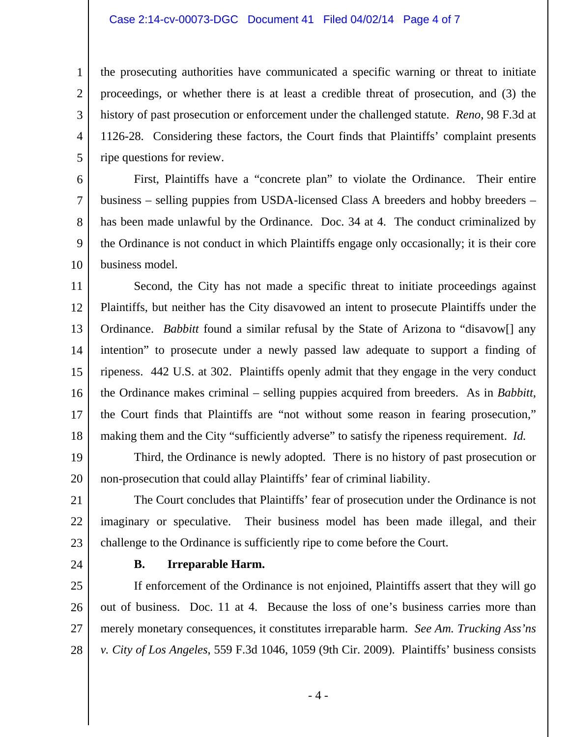#### Case 2:14-cv-00073-DGC Document 41 Filed 04/02/14 Page 4 of 7

1 2 3 4 5 the prosecuting authorities have communicated a specific warning or threat to initiate proceedings, or whether there is at least a credible threat of prosecution, and (3) the history of past prosecution or enforcement under the challenged statute. *Reno*, 98 F.3d at 1126-28. Considering these factors, the Court finds that Plaintiffs' complaint presents ripe questions for review.

6 7 8 9 10 First, Plaintiffs have a "concrete plan" to violate the Ordinance. Their entire business – selling puppies from USDA-licensed Class A breeders and hobby breeders – has been made unlawful by the Ordinance. Doc. 34 at 4. The conduct criminalized by the Ordinance is not conduct in which Plaintiffs engage only occasionally; it is their core business model.

11 12 13 14 15 16 17 18 Second, the City has not made a specific threat to initiate proceedings against Plaintiffs, but neither has the City disavowed an intent to prosecute Plaintiffs under the Ordinance. *Babbitt* found a similar refusal by the State of Arizona to "disavow[] any intention" to prosecute under a newly passed law adequate to support a finding of ripeness. 442 U.S. at 302. Plaintiffs openly admit that they engage in the very conduct the Ordinance makes criminal – selling puppies acquired from breeders. As in *Babbitt*, the Court finds that Plaintiffs are "not without some reason in fearing prosecution," making them and the City "sufficiently adverse" to satisfy the ripeness requirement. *Id.* 

19 20 Third, the Ordinance is newly adopted. There is no history of past prosecution or non-prosecution that could allay Plaintiffs' fear of criminal liability.

21 22 23 The Court concludes that Plaintiffs' fear of prosecution under the Ordinance is not imaginary or speculative. Their business model has been made illegal, and their challenge to the Ordinance is sufficiently ripe to come before the Court.

24

#### **B. Irreparable Harm.**

25 26 27 28 If enforcement of the Ordinance is not enjoined, Plaintiffs assert that they will go out of business. Doc. 11 at 4. Because the loss of one's business carries more than merely monetary consequences, it constitutes irreparable harm. *See Am. Trucking Ass'ns v. City of Los Angeles*, 559 F.3d 1046, 1059 (9th Cir. 2009). Plaintiffs' business consists

- 4 -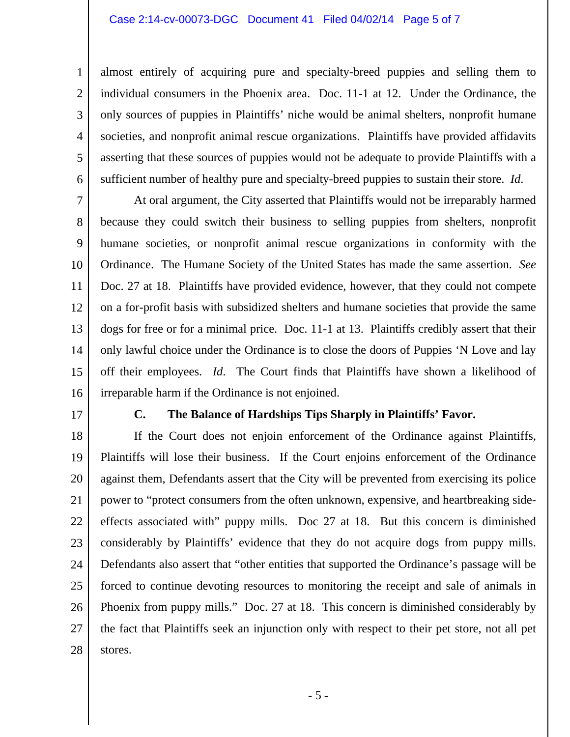# Case 2:14-cv-00073-DGC Document 41 Filed 04/02/14 Page 5 of 7

4 6 almost entirely of acquiring pure and specialty-breed puppies and selling them to individual consumers in the Phoenix area. Doc. 11-1 at 12. Under the Ordinance, the only sources of puppies in Plaintiffs' niche would be animal shelters, nonprofit humane societies, and nonprofit animal rescue organizations. Plaintiffs have provided affidavits asserting that these sources of puppies would not be adequate to provide Plaintiffs with a sufficient number of healthy pure and specialty-breed puppies to sustain their store. *Id*.

7 8 9 10 11 12 13 14 15 16 At oral argument, the City asserted that Plaintiffs would not be irreparably harmed because they could switch their business to selling puppies from shelters, nonprofit humane societies, or nonprofit animal rescue organizations in conformity with the Ordinance. The Humane Society of the United States has made the same assertion. *See*  Doc. 27 at 18. Plaintiffs have provided evidence, however, that they could not compete on a for-profit basis with subsidized shelters and humane societies that provide the same dogs for free or for a minimal price. Doc. 11-1 at 13. Plaintiffs credibly assert that their only lawful choice under the Ordinance is to close the doors of Puppies 'N Love and lay off their employees. *Id*. The Court finds that Plaintiffs have shown a likelihood of irreparable harm if the Ordinance is not enjoined.

17

1

2

3

5

### **C. The Balance of Hardships Tips Sharply in Plaintiffs' Favor.**

18 19 20 21 22 23 24 25 26 27 28 If the Court does not enjoin enforcement of the Ordinance against Plaintiffs, Plaintiffs will lose their business. If the Court enjoins enforcement of the Ordinance against them, Defendants assert that the City will be prevented from exercising its police power to "protect consumers from the often unknown, expensive, and heartbreaking sideeffects associated with" puppy mills. Doc 27 at 18. But this concern is diminished considerably by Plaintiffs' evidence that they do not acquire dogs from puppy mills. Defendants also assert that "other entities that supported the Ordinance's passage will be forced to continue devoting resources to monitoring the receipt and sale of animals in Phoenix from puppy mills." Doc. 27 at 18. This concern is diminished considerably by the fact that Plaintiffs seek an injunction only with respect to their pet store, not all pet stores.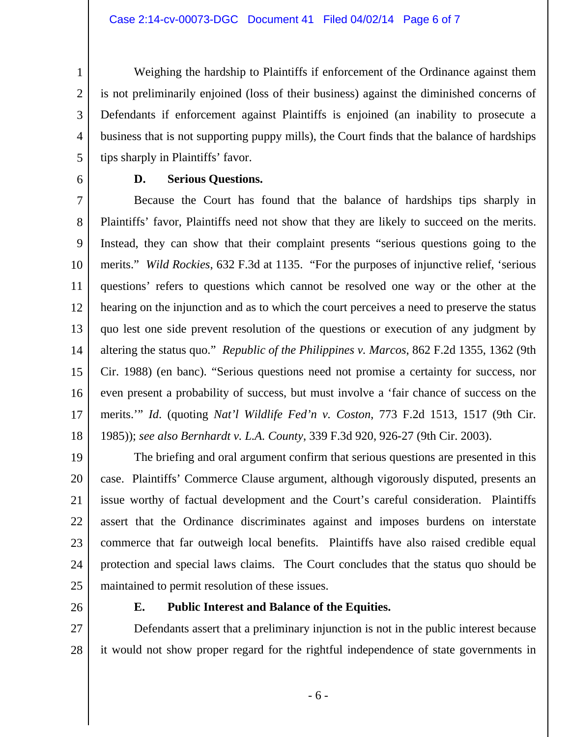1 2 3 4 5 Weighing the hardship to Plaintiffs if enforcement of the Ordinance against them is not preliminarily enjoined (loss of their business) against the diminished concerns of Defendants if enforcement against Plaintiffs is enjoined (an inability to prosecute a business that is not supporting puppy mills), the Court finds that the balance of hardships tips sharply in Plaintiffs' favor.

6

## **D. Serious Questions.**

7 8 9 10 11 12 13 14 15 16 17 18 Because the Court has found that the balance of hardships tips sharply in Plaintiffs' favor, Plaintiffs need not show that they are likely to succeed on the merits. Instead, they can show that their complaint presents "serious questions going to the merits." *Wild Rockies*, 632 F.3d at 1135. "For the purposes of injunctive relief, 'serious questions' refers to questions which cannot be resolved one way or the other at the hearing on the injunction and as to which the court perceives a need to preserve the status quo lest one side prevent resolution of the questions or execution of any judgment by altering the status quo." *Republic of the Philippines v. Marcos*, 862 F.2d 1355, 1362 (9th Cir. 1988) (en banc). "Serious questions need not promise a certainty for success, nor even present a probability of success, but must involve a 'fair chance of success on the merits.'" *Id*. (quoting *Nat'l Wildlife Fed'n v. Coston*, 773 F.2d 1513, 1517 (9th Cir. 1985)); *see also Bernhardt v. L.A. County*, 339 F.3d 920, 926-27 (9th Cir. 2003).

19 20 21 22 23 24 25 The briefing and oral argument confirm that serious questions are presented in this case. Plaintiffs' Commerce Clause argument, although vigorously disputed, presents an issue worthy of factual development and the Court's careful consideration. Plaintiffs assert that the Ordinance discriminates against and imposes burdens on interstate commerce that far outweigh local benefits. Plaintiffs have also raised credible equal protection and special laws claims. The Court concludes that the status quo should be maintained to permit resolution of these issues.

26

## **E. Public Interest and Balance of the Equities.**

27 28 Defendants assert that a preliminary injunction is not in the public interest because it would not show proper regard for the rightful independence of state governments in